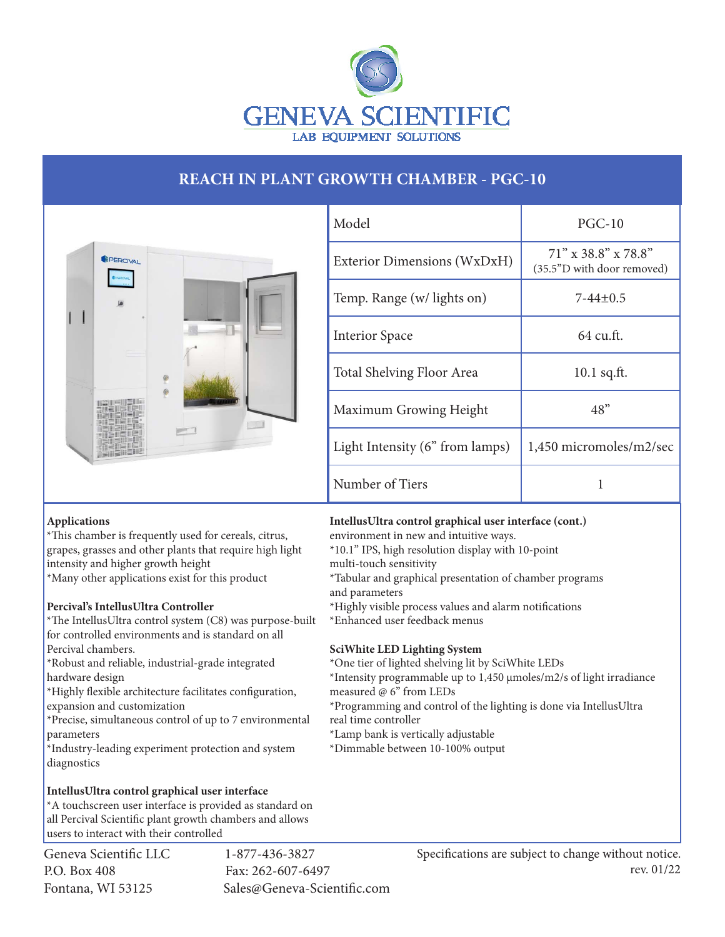

## **REACH IN PLANT GROWTH CHAMBER - PGC-10**



| Model                           | $PGC-10$                                             |
|---------------------------------|------------------------------------------------------|
| Exterior Dimensions (WxDxH)     | $71''$ x 38.8" x 78.8"<br>(35.5"D with door removed) |
| Temp. Range (w/ lights on)      | $7-44+0.5$                                           |
| <b>Interior Space</b>           | 64 cu.ft.                                            |
| Total Shelving Floor Area       | $10.1$ sq.ft.                                        |
| Maximum Growing Height          | 48"                                                  |
| Light Intensity (6" from lamps) | 1,450 micromoles/m2/sec                              |
| Number of Tiers                 |                                                      |

## **Applications**

\*This chamber is frequently used for cereals, citrus, grapes, grasses and other plants that require high light intensity and higher growth height \*Many other applications exist for this product

## **Percival's IntellusUltra Controller**

\*The IntellusUltra control system (C8) was purpose-built for controlled environments and is standard on all Percival chambers.

\*Robust and reliable, industrial-grade integrated hardware design

\*Highly flexible architecture facilitates configuration, expansion and customization

\*Precise, simultaneous control of up to 7 environmental parameters

\*Industry-leading experiment protection and system diagnostics

## **IntellusUltra control graphical user interface**

\*A touchscreen user interface is provided as standard on all Percival Scientific plant growth chambers and allows users to interact with their controlled

Geneva Scientific LLC 1-877-436-3827 P.O. Box 408 Fax: 262-607-6497

Fontana, WI 53125 Sales@Geneva-Scientific.com

**IntellusUltra control graphical user interface (cont.)**

environment in new and intuitive ways.

\*10.1" IPS, high resolution display with 10-point

multi-touch sensitivity

\*Tabular and graphical presentation of chamber programs and parameters

\*Highly visible process values and alarm notifications \*Enhanced user feedback menus

## **SciWhite LED Lighting System**

\*One tier of lighted shelving lit by SciWhite LEDs

\*Intensity programmable up to 1,450 µmoles/m2/s of light irradiance measured @ 6" from LEDs

\*Programming and control of the lighting is done via IntellusUltra real time controller

\*Lamp bank is vertically adjustable

\*Dimmable between 10-100% output

Specifications are subject to change without notice. rev. 01/22